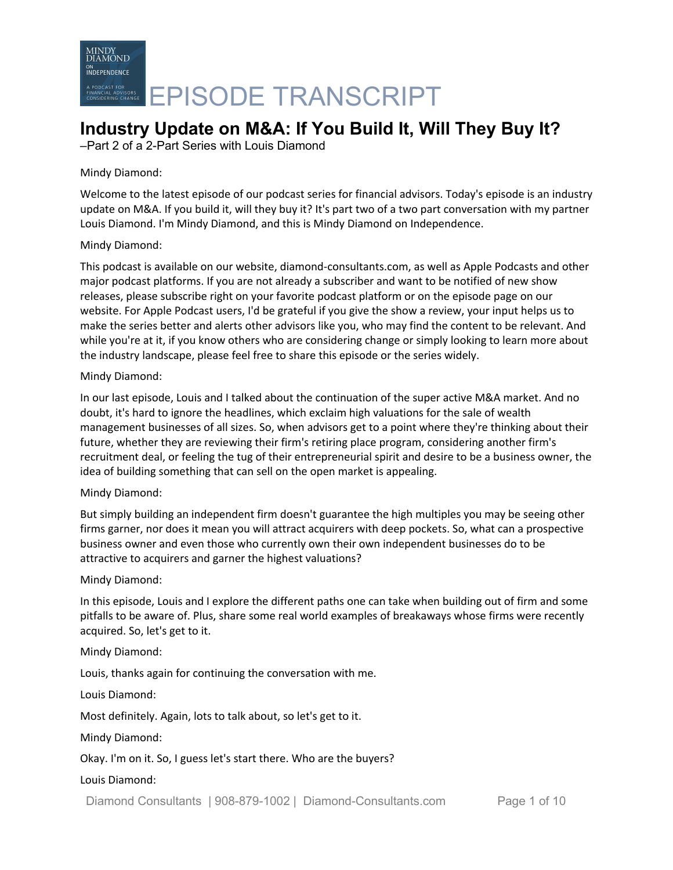

## **Industry Update on M&A: If You Build It, Will They Buy It?**

–Part 2 of a 2-Part Series with Louis Diamond

#### Mindy Diamond:

Welcome to the latest episode of our podcast series for financial advisors. Today's episode is an industry update on M&A. If you build it, will they buy it? It's part two of a two part conversation with my partner Louis Diamond. I'm Mindy Diamond, and this is Mindy Diamond on Independence.

#### Mindy Diamond:

This podcast is available on our website, diamond-consultants.com, as well as Apple Podcasts and other major podcast platforms. If you are not already a subscriber and want to be notified of new show releases, please subscribe right on your favorite podcast platform or on the episode page on our website. For Apple Podcast users, I'd be grateful if you give the show a review, your input helps us to make the series better and alerts other advisors like you, who may find the content to be relevant. And while you're at it, if you know others who are considering change or simply looking to learn more about the industry landscape, please feel free to share this episode or the series widely.

#### Mindy Diamond:

In our last episode, Louis and I talked about the continuation of the super active M&A market. And no doubt, it's hard to ignore the headlines, which exclaim high valuations for the sale of wealth management businesses of all sizes. So, when advisors get to a point where they're thinking about their future, whether they are reviewing their firm's retiring place program, considering another firm's recruitment deal, or feeling the tug of their entrepreneurial spirit and desire to be a business owner, the idea of building something that can sell on the open market is appealing.

#### Mindy Diamond:

But simply building an independent firm doesn't guarantee the high multiples you may be seeing other firms garner, nor does it mean you will attract acquirers with deep pockets. So, what can a prospective business owner and even those who currently own their own independent businesses do to be attractive to acquirers and garner the highest valuations?

#### Mindy Diamond:

In this episode, Louis and I explore the different paths one can take when building out of firm and some pitfalls to be aware of. Plus, share some real world examples of breakaways whose firms were recently acquired. So, let's get to it.

#### Mindy Diamond:

Louis, thanks again for continuing the conversation with me.

Louis Diamond:

Most definitely. Again, lots to talk about, so let's get to it.

Mindy Diamond:

Okay. I'm on it. So, I guess let's start there. Who are the buyers?

#### Louis Diamond:

Diamond Consultants | 908-879-1002 | Diamond-Consultants.com Page 1 of 10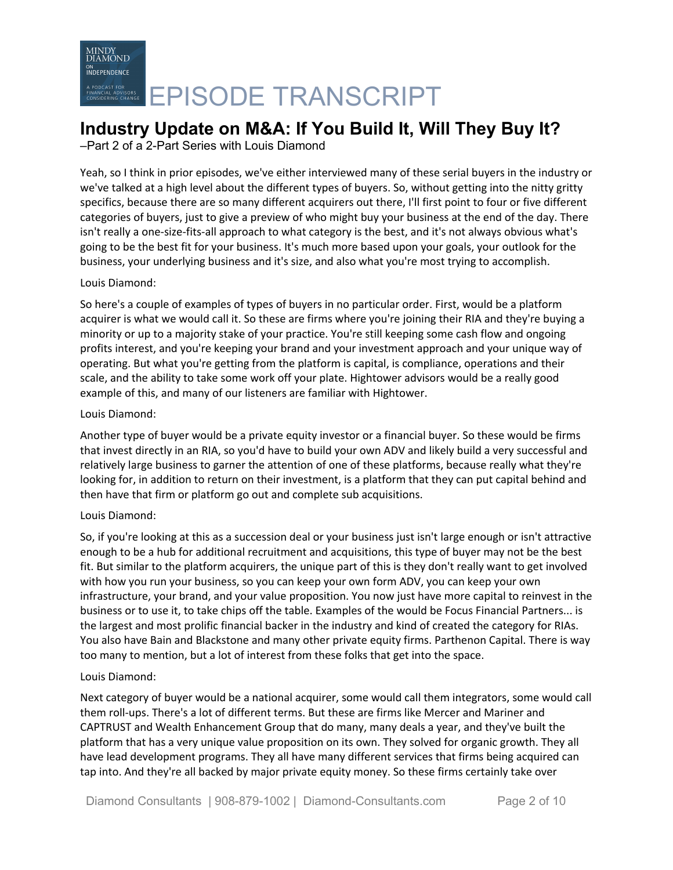## **Industry Update on M&A: If You Build It, Will They Buy It?**

–Part 2 of a 2-Part Series with Louis Diamond

Yeah, so I think in prior episodes, we've either interviewed many of these serial buyers in the industry or we've talked at a high level about the different types of buyers. So, without getting into the nitty gritty specifics, because there are so many different acquirers out there, I'll first point to four or five different categories of buyers, just to give a preview of who might buy your business at the end of the day. There isn't really a one-size-fits-all approach to what category is the best, and it's not always obvious what's going to be the best fit for your business. It's much more based upon your goals, your outlook for the business, your underlying business and it's size, and also what you're most trying to accomplish.

#### Louis Diamond:

So here's a couple of examples of types of buyers in no particular order. First, would be a platform acquirer is what we would call it. So these are firms where you're joining their RIA and they're buying a minority or up to a majority stake of your practice. You're still keeping some cash flow and ongoing profits interest, and you're keeping your brand and your investment approach and your unique way of operating. But what you're getting from the platform is capital, is compliance, operations and their scale, and the ability to take some work off your plate. Hightower advisors would be a really good example of this, and many of our listeners are familiar with Hightower.

#### Louis Diamond:

Another type of buyer would be a private equity investor or a financial buyer. So these would be firms that invest directly in an RIA, so you'd have to build your own ADV and likely build a very successful and relatively large business to garner the attention of one of these platforms, because really what they're looking for, in addition to return on their investment, is a platform that they can put capital behind and then have that firm or platform go out and complete sub acquisitions.

#### Louis Diamond:

So, if you're looking at this as a succession deal or your business just isn't large enough or isn't attractive enough to be a hub for additional recruitment and acquisitions, this type of buyer may not be the best fit. But similar to the platform acquirers, the unique part of this is they don't really want to get involved with how you run your business, so you can keep your own form ADV, you can keep your own infrastructure, your brand, and your value proposition. You now just have more capital to reinvest in the business or to use it, to take chips off the table. Examples of the would be Focus Financial Partners... is the largest and most prolific financial backer in the industry and kind of created the category for RIAs. You also have Bain and Blackstone and many other private equity firms. Parthenon Capital. There is way too many to mention, but a lot of interest from these folks that get into the space.

#### Louis Diamond:

Next category of buyer would be a national acquirer, some would call them integrators, some would call them roll-ups. There's a lot of different terms. But these are firms like Mercer and Mariner and CAPTRUST and Wealth Enhancement Group that do many, many deals a year, and they've built the platform that has a very unique value proposition on its own. They solved for organic growth. They all have lead development programs. They all have many different services that firms being acquired can tap into. And they're all backed by major private equity money. So these firms certainly take over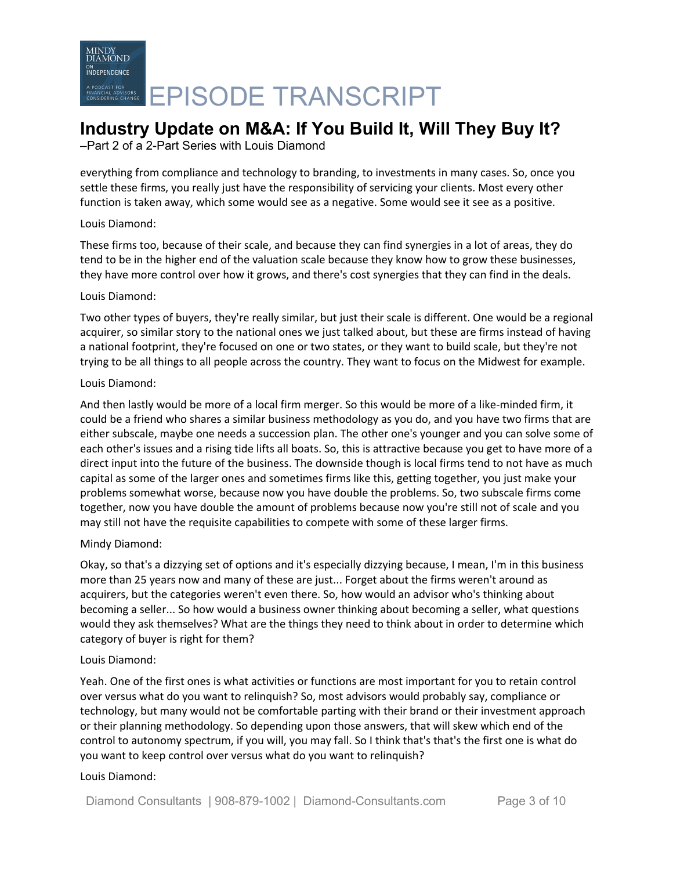# MINDY<br>DIAMOND ON<br>INDEPENDENCE EPISODE TRANSCRIPT

## **Industry Update on M&A: If You Build It, Will They Buy It?**

–Part 2 of a 2-Part Series with Louis Diamond

everything from compliance and technology to branding, to investments in many cases. So, once you settle these firms, you really just have the responsibility of servicing your clients. Most every other function is taken away, which some would see as a negative. Some would see it see as a positive.

#### Louis Diamond:

These firms too, because of their scale, and because they can find synergies in a lot of areas, they do tend to be in the higher end of the valuation scale because they know how to grow these businesses, they have more control over how it grows, and there's cost synergies that they can find in the deals.

#### Louis Diamond:

Two other types of buyers, they're really similar, but just their scale is different. One would be a regional acquirer, so similar story to the national ones we just talked about, but these are firms instead of having a national footprint, they're focused on one or two states, or they want to build scale, but they're not trying to be all things to all people across the country. They want to focus on the Midwest for example.

#### Louis Diamond:

And then lastly would be more of a local firm merger. So this would be more of a like-minded firm, it could be a friend who shares a similar business methodology as you do, and you have two firms that are either subscale, maybe one needs a succession plan. The other one's younger and you can solve some of each other's issues and a rising tide lifts all boats. So, this is attractive because you get to have more of a direct input into the future of the business. The downside though is local firms tend to not have as much capital as some of the larger ones and sometimes firms like this, getting together, you just make your problems somewhat worse, because now you have double the problems. So, two subscale firms come together, now you have double the amount of problems because now you're still not of scale and you may still not have the requisite capabilities to compete with some of these larger firms.

#### Mindy Diamond:

Okay, so that's a dizzying set of options and it's especially dizzying because, I mean, I'm in this business more than 25 years now and many of these are just... Forget about the firms weren't around as acquirers, but the categories weren't even there. So, how would an advisor who's thinking about becoming a seller... So how would a business owner thinking about becoming a seller, what questions would they ask themselves? What are the things they need to think about in order to determine which category of buyer is right for them?

#### Louis Diamond:

Yeah. One of the first ones is what activities or functions are most important for you to retain control over versus what do you want to relinquish? So, most advisors would probably say, compliance or technology, but many would not be comfortable parting with their brand or their investment approach or their planning methodology. So depending upon those answers, that will skew which end of the control to autonomy spectrum, if you will, you may fall. So I think that's that's the first one is what do you want to keep control over versus what do you want to relinquish?

#### Louis Diamond: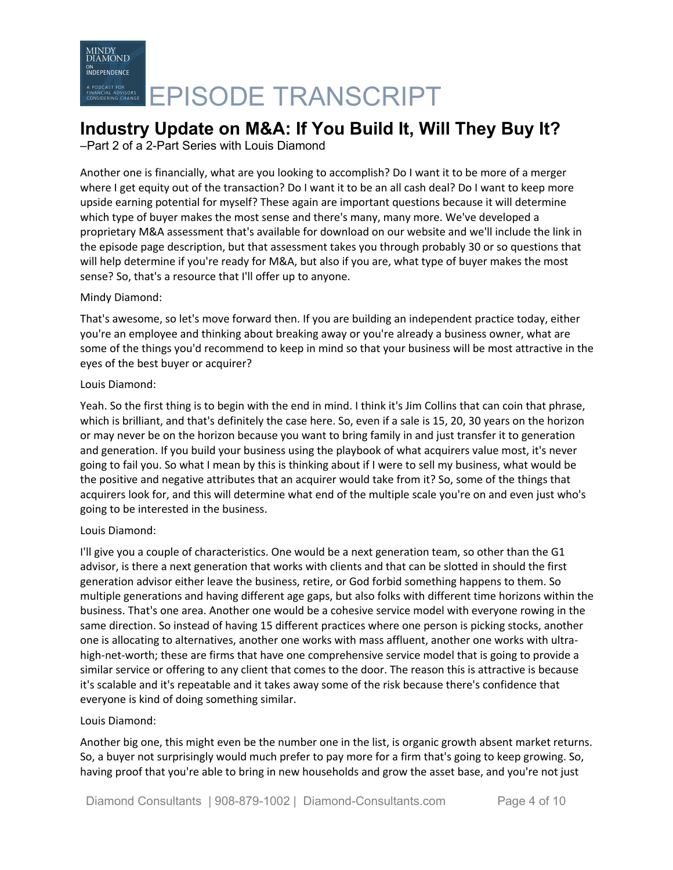### **Industry Update on M&A: If You Build It, Will They Buy It?**

–Part 2 of a 2-Part Series with Louis Diamond

Another one is financially, what are you looking to accomplish? Do I want it to be more of a merger where I get equity out of the transaction? Do I want it to be an all cash deal? Do I want to keep more upside earning potential for myself? These again are important questions because it will determine which type of buyer makes the most sense and there's many, many more. We've developed a proprietary M&A assessment that's available for download on our website and we'll include the link in the episode page description, but that assessment takes you through probably 30 or so questions that will help determine if you're ready for M&A, but also if you are, what type of buyer makes the most sense? So, that's a resource that I'll offer up to anyone.

#### Mindy Diamond:

That's awesome, so let's move forward then. If you are building an independent practice today, either you're an employee and thinking about breaking away or you're already a business owner, what are some of the things you'd recommend to keep in mind so that your business will be most attractive in the eyes of the best buyer or acquirer?

#### Louis Diamond:

Yeah. So the first thing is to begin with the end in mind. I think it's Jim Collins that can coin that phrase, which is brilliant, and that's definitely the case here. So, even if a sale is 15, 20, 30 years on the horizon or may never be on the horizon because you want to bring family in and just transfer it to generation and generation. If you build your business using the playbook of what acquirers value most, it's never going to fail you. So what I mean by this is thinking about if I were to sell my business, what would be the positive and negative attributes that an acquirer would take from it? So, some of the things that acquirers look for, and this will determine what end of the multiple scale you're on and even just who's going to be interested in the business.

#### Louis Diamond:

I'll give you a couple of characteristics. One would be a next generation team, so other than the G1 advisor, is there a next generation that works with clients and that can be slotted in should the first generation advisor either leave the business, retire, or God forbid something happens to them. So multiple generations and having different age gaps, but also folks with different time horizons within the business. That's one area. Another one would be a cohesive service model with everyone rowing in the same direction. So instead of having 15 different practices where one person is picking stocks, another one is allocating to alternatives, another one works with mass affluent, another one works with ultrahigh-net-worth; these are firms that have one comprehensive service model that is going to provide a similar service or offering to any client that comes to the door. The reason this is attractive is because it's scalable and it's repeatable and it takes away some of the risk because there's confidence that everyone is kind of doing something similar.

#### Louis Diamond:

Another big one, this might even be the number one in the list, is organic growth absent market returns. So, a buyer not surprisingly would much prefer to pay more for a firm that's going to keep growing. So, having proof that you're able to bring in new households and grow the asset base, and you're not just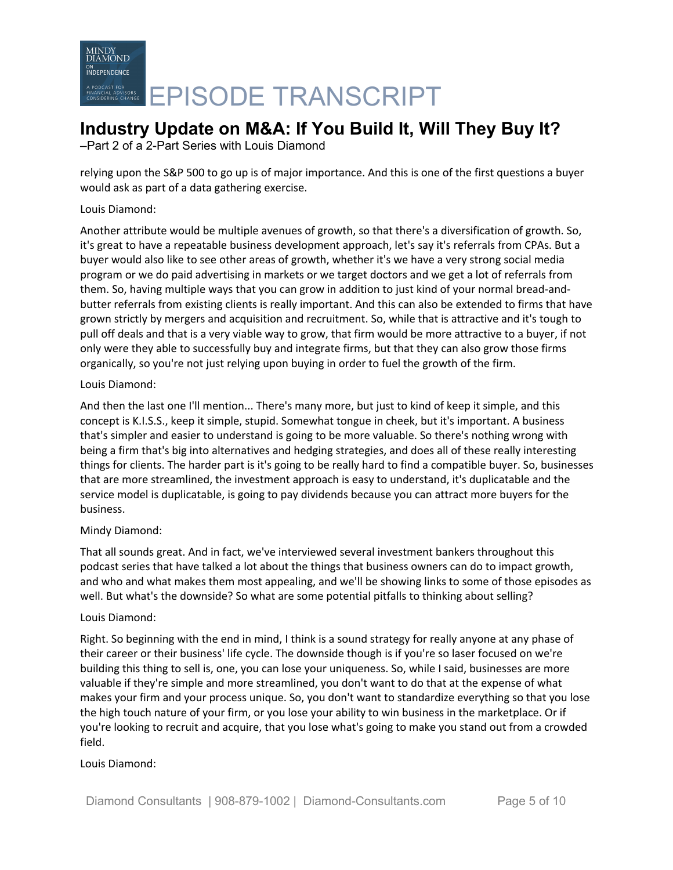# **Industry Update on M&A: If You Build It, Will They Buy It?**

–Part 2 of a 2-Part Series with Louis Diamond

relying upon the S&P 500 to go up is of major importance. And this is one of the first questions a buyer would ask as part of a data gathering exercise.

#### Louis Diamond:

Another attribute would be multiple avenues of growth, so that there's a diversification of growth. So, it's great to have a repeatable business development approach, let's say it's referrals from CPAs. But a buyer would also like to see other areas of growth, whether it's we have a very strong social media program or we do paid advertising in markets or we target doctors and we get a lot of referrals from them. So, having multiple ways that you can grow in addition to just kind of your normal bread-andbutter referrals from existing clients is really important. And this can also be extended to firms that have grown strictly by mergers and acquisition and recruitment. So, while that is attractive and it's tough to pull off deals and that is a very viable way to grow, that firm would be more attractive to a buyer, if not only were they able to successfully buy and integrate firms, but that they can also grow those firms organically, so you're not just relying upon buying in order to fuel the growth of the firm.

#### Louis Diamond:

And then the last one I'll mention... There's many more, but just to kind of keep it simple, and this concept is K.I.S.S., keep it simple, stupid. Somewhat tongue in cheek, but it's important. A business that's simpler and easier to understand is going to be more valuable. So there's nothing wrong with being a firm that's big into alternatives and hedging strategies, and does all of these really interesting things for clients. The harder part is it's going to be really hard to find a compatible buyer. So, businesses that are more streamlined, the investment approach is easy to understand, it's duplicatable and the service model is duplicatable, is going to pay dividends because you can attract more buyers for the business.

#### Mindy Diamond:

That all sounds great. And in fact, we've interviewed several investment bankers throughout this podcast series that have talked a lot about the things that business owners can do to impact growth, and who and what makes them most appealing, and we'll be showing links to some of those episodes as well. But what's the downside? So what are some potential pitfalls to thinking about selling?

#### Louis Diamond:

Right. So beginning with the end in mind, I think is a sound strategy for really anyone at any phase of their career or their business' life cycle. The downside though is if you're so laser focused on we're building this thing to sell is, one, you can lose your uniqueness. So, while I said, businesses are more valuable if they're simple and more streamlined, you don't want to do that at the expense of what makes your firm and your process unique. So, you don't want to standardize everything so that you lose the high touch nature of your firm, or you lose your ability to win business in the marketplace. Or if you're looking to recruit and acquire, that you lose what's going to make you stand out from a crowded field.

#### Louis Diamond: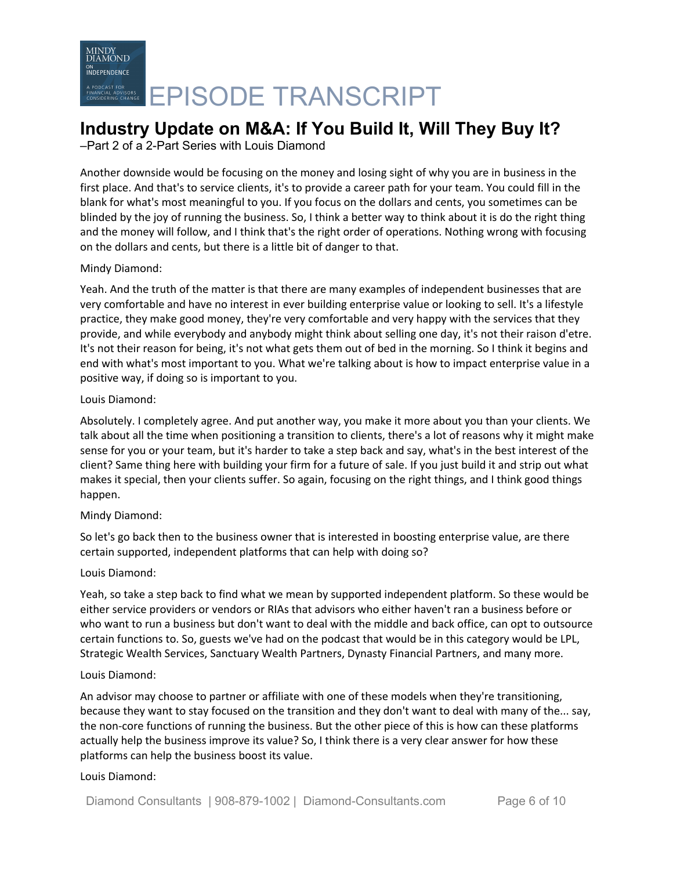# MINDY<br>DIAMOND ON<br>INDEPENDENCE EPISODE TRANSCRIPT

## **Industry Update on M&A: If You Build It, Will They Buy It?**

–Part 2 of a 2-Part Series with Louis Diamond

Another downside would be focusing on the money and losing sight of why you are in business in the first place. And that's to service clients, it's to provide a career path for your team. You could fill in the blank for what's most meaningful to you. If you focus on the dollars and cents, you sometimes can be blinded by the joy of running the business. So, I think a better way to think about it is do the right thing and the money will follow, and I think that's the right order of operations. Nothing wrong with focusing on the dollars and cents, but there is a little bit of danger to that.

#### Mindy Diamond:

Yeah. And the truth of the matter is that there are many examples of independent businesses that are very comfortable and have no interest in ever building enterprise value or looking to sell. It's a lifestyle practice, they make good money, they're very comfortable and very happy with the services that they provide, and while everybody and anybody might think about selling one day, it's not their raison d'etre. It's not their reason for being, it's not what gets them out of bed in the morning. So I think it begins and end with what's most important to you. What we're talking about is how to impact enterprise value in a positive way, if doing so is important to you.

#### Louis Diamond:

Absolutely. I completely agree. And put another way, you make it more about you than your clients. We talk about all the time when positioning a transition to clients, there's a lot of reasons why it might make sense for you or your team, but it's harder to take a step back and say, what's in the best interest of the client? Same thing here with building your firm for a future of sale. If you just build it and strip out what makes it special, then your clients suffer. So again, focusing on the right things, and I think good things happen.

#### Mindy Diamond:

So let's go back then to the business owner that is interested in boosting enterprise value, are there certain supported, independent platforms that can help with doing so?

#### Louis Diamond:

Yeah, so take a step back to find what we mean by supported independent platform. So these would be either service providers or vendors or RIAs that advisors who either haven't ran a business before or who want to run a business but don't want to deal with the middle and back office, can opt to outsource certain functions to. So, guests we've had on the podcast that would be in this category would be LPL, Strategic Wealth Services, Sanctuary Wealth Partners, Dynasty Financial Partners, and many more.

#### Louis Diamond:

An advisor may choose to partner or affiliate with one of these models when they're transitioning, because they want to stay focused on the transition and they don't want to deal with many of the... say, the non-core functions of running the business. But the other piece of this is how can these platforms actually help the business improve its value? So, I think there is a very clear answer for how these platforms can help the business boost its value.

#### Louis Diamond: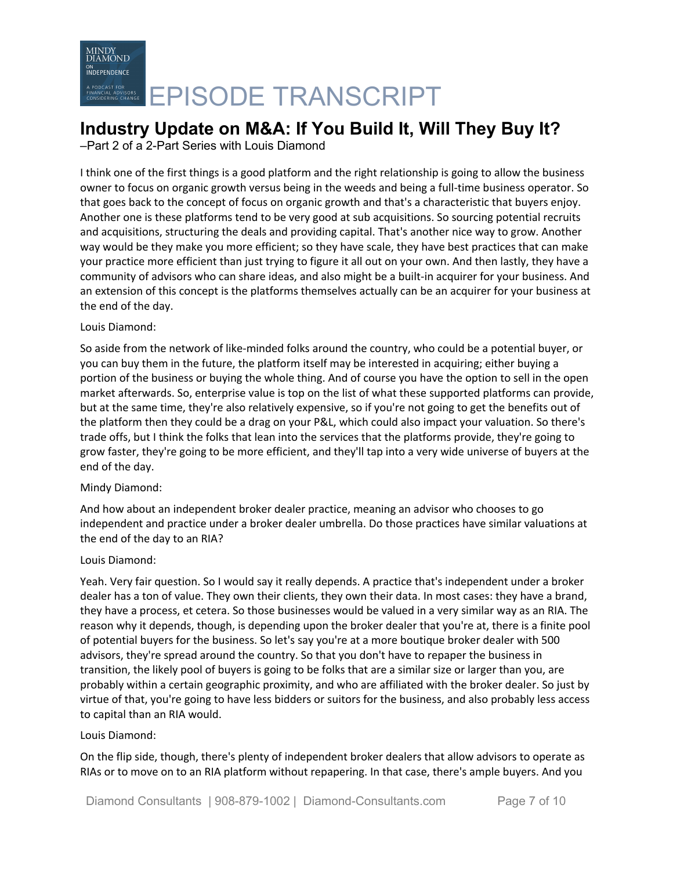### **Industry Update on M&A: If You Build It, Will They Buy It?**

–Part 2 of a 2-Part Series with Louis Diamond

I think one of the first things is a good platform and the right relationship is going to allow the business owner to focus on organic growth versus being in the weeds and being a full-time business operator. So that goes back to the concept of focus on organic growth and that's a characteristic that buyers enjoy. Another one is these platforms tend to be very good at sub acquisitions. So sourcing potential recruits and acquisitions, structuring the deals and providing capital. That's another nice way to grow. Another way would be they make you more efficient; so they have scale, they have best practices that can make your practice more efficient than just trying to figure it all out on your own. And then lastly, they have a community of advisors who can share ideas, and also might be a built-in acquirer for your business. And an extension of this concept is the platforms themselves actually can be an acquirer for your business at the end of the day.

#### Louis Diamond:

So aside from the network of like-minded folks around the country, who could be a potential buyer, or you can buy them in the future, the platform itself may be interested in acquiring; either buying a portion of the business or buying the whole thing. And of course you have the option to sell in the open market afterwards. So, enterprise value is top on the list of what these supported platforms can provide, but at the same time, they're also relatively expensive, so if you're not going to get the benefits out of the platform then they could be a drag on your P&L, which could also impact your valuation. So there's trade offs, but I think the folks that lean into the services that the platforms provide, they're going to grow faster, they're going to be more efficient, and they'll tap into a very wide universe of buyers at the end of the day.

#### Mindy Diamond:

And how about an independent broker dealer practice, meaning an advisor who chooses to go independent and practice under a broker dealer umbrella. Do those practices have similar valuations at the end of the day to an RIA?

#### Louis Diamond:

Yeah. Very fair question. So I would say it really depends. A practice that's independent under a broker dealer has a ton of value. They own their clients, they own their data. In most cases: they have a brand, they have a process, et cetera. So those businesses would be valued in a very similar way as an RIA. The reason why it depends, though, is depending upon the broker dealer that you're at, there is a finite pool of potential buyers for the business. So let's say you're at a more boutique broker dealer with 500 advisors, they're spread around the country. So that you don't have to repaper the business in transition, the likely pool of buyers is going to be folks that are a similar size or larger than you, are probably within a certain geographic proximity, and who are affiliated with the broker dealer. So just by virtue of that, you're going to have less bidders or suitors for the business, and also probably less access to capital than an RIA would.

#### Louis Diamond:

On the flip side, though, there's plenty of independent broker dealers that allow advisors to operate as RIAs or to move on to an RIA platform without repapering. In that case, there's ample buyers. And you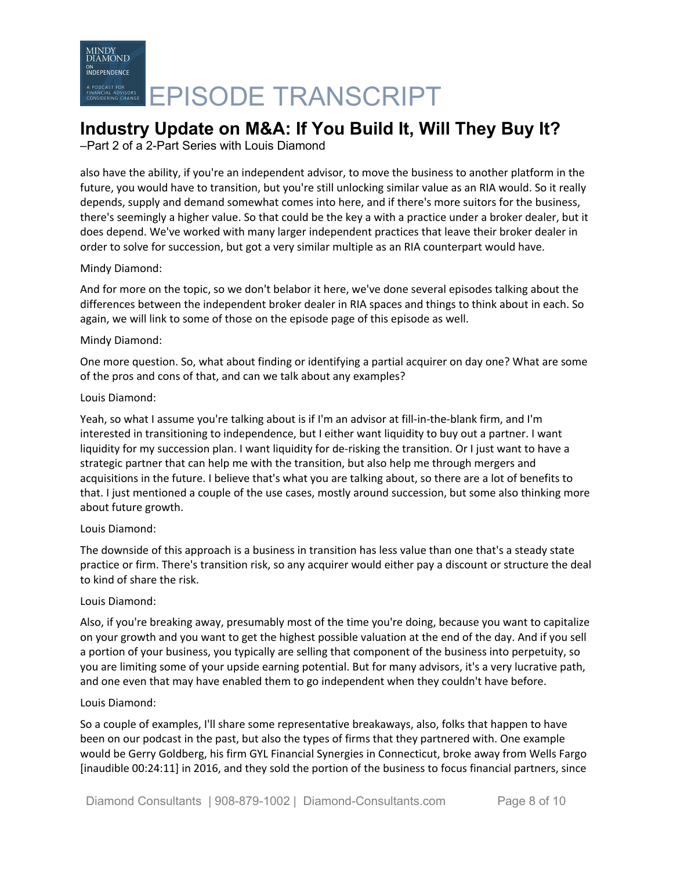## **Industry Update on M&A: If You Build It, Will They Buy It?**

–Part 2 of a 2-Part Series with Louis Diamond

also have the ability, if you're an independent advisor, to move the business to another platform in the future, you would have to transition, but you're still unlocking similar value as an RIA would. So it really depends, supply and demand somewhat comes into here, and if there's more suitors for the business, there's seemingly a higher value. So that could be the key a with a practice under a broker dealer, but it does depend. We've worked with many larger independent practices that leave their broker dealer in order to solve for succession, but got a very similar multiple as an RIA counterpart would have.

#### Mindy Diamond:

And for more on the topic, so we don't belabor it here, we've done several episodes talking about the differences between the independent broker dealer in RIA spaces and things to think about in each. So again, we will link to some of those on the episode page of this episode as well.

#### Mindy Diamond:

One more question. So, what about finding or identifying a partial acquirer on day one? What are some of the pros and cons of that, and can we talk about any examples?

#### Louis Diamond:

Yeah, so what I assume you're talking about is if I'm an advisor at fill-in-the-blank firm, and I'm interested in transitioning to independence, but I either want liquidity to buy out a partner. I want liquidity for my succession plan. I want liquidity for de-risking the transition. Or I just want to have a strategic partner that can help me with the transition, but also help me through mergers and acquisitions in the future. I believe that's what you are talking about, so there are a lot of benefits to that. I just mentioned a couple of the use cases, mostly around succession, but some also thinking more about future growth.

#### Louis Diamond:

The downside of this approach is a business in transition has less value than one that's a steady state practice or firm. There's transition risk, so any acquirer would either pay a discount or structure the deal to kind of share the risk.

#### Louis Diamond:

Also, if you're breaking away, presumably most of the time you're doing, because you want to capitalize on your growth and you want to get the highest possible valuation at the end of the day. And if you sell a portion of your business, you typically are selling that component of the business into perpetuity, so you are limiting some of your upside earning potential. But for many advisors, it's a very lucrative path, and one even that may have enabled them to go independent when they couldn't have before.

#### Louis Diamond:

So a couple of examples, I'll share some representative breakaways, also, folks that happen to have been on our podcast in the past, but also the types of firms that they partnered with. One example would be Gerry Goldberg, his firm GYL Financial Synergies in Connecticut, broke away from Wells Fargo [inaudible 00:24:11] in 2016, and they sold the portion of the business to focus financial partners, since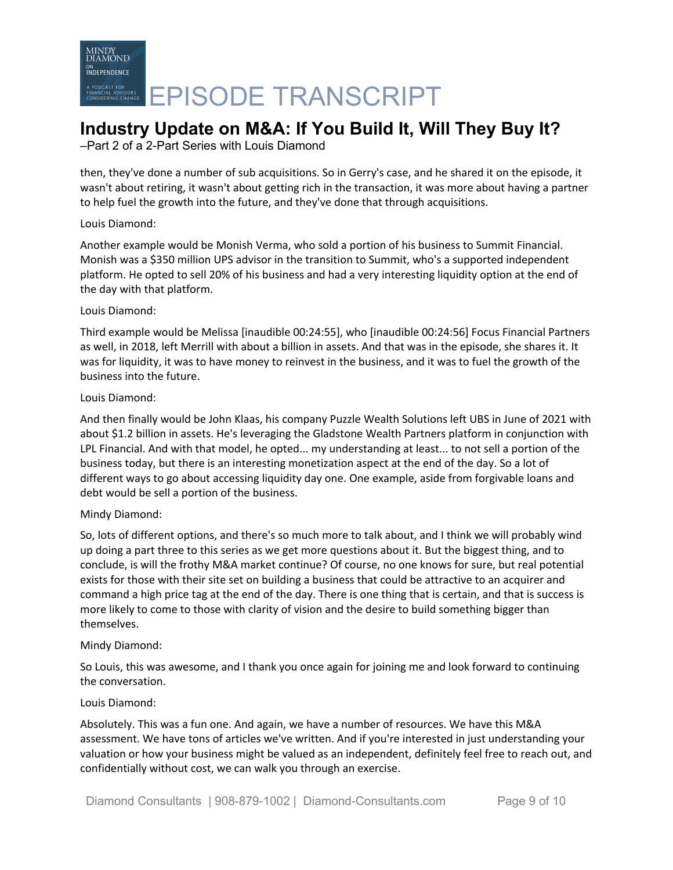# MINDY<br>DIAMOND ON<br>INDEPENDENCE EPISODE TRANSCRIPT

## **Industry Update on M&A: If You Build It, Will They Buy It?**

–Part 2 of a 2-Part Series with Louis Diamond

then, they've done a number of sub acquisitions. So in Gerry's case, and he shared it on the episode, it wasn't about retiring, it wasn't about getting rich in the transaction, it was more about having a partner to help fuel the growth into the future, and they've done that through acquisitions.

#### Louis Diamond:

Another example would be Monish Verma, who sold a portion of his business to Summit Financial. Monish was a \$350 million UPS advisor in the transition to Summit, who's a supported independent platform. He opted to sell 20% of his business and had a very interesting liquidity option at the end of the day with that platform.

#### Louis Diamond:

Third example would be Melissa [inaudible 00:24:55], who [inaudible 00:24:56] Focus Financial Partners as well, in 2018, left Merrill with about a billion in assets. And that was in the episode, she shares it. It was for liquidity, it was to have money to reinvest in the business, and it was to fuel the growth of the business into the future.

#### Louis Diamond:

And then finally would be John Klaas, his company Puzzle Wealth Solutions left UBS in June of 2021 with about \$1.2 billion in assets. He's leveraging the Gladstone Wealth Partners platform in conjunction with LPL Financial. And with that model, he opted... my understanding at least... to not sell a portion of the business today, but there is an interesting monetization aspect at the end of the day. So a lot of different ways to go about accessing liquidity day one. One example, aside from forgivable loans and debt would be sell a portion of the business.

#### Mindy Diamond:

So, lots of different options, and there's so much more to talk about, and I think we will probably wind up doing a part three to this series as we get more questions about it. But the biggest thing, and to conclude, is will the frothy M&A market continue? Of course, no one knows for sure, but real potential exists for those with their site set on building a business that could be attractive to an acquirer and command a high price tag at the end of the day. There is one thing that is certain, and that is success is more likely to come to those with clarity of vision and the desire to build something bigger than themselves.

#### Mindy Diamond:

So Louis, this was awesome, and I thank you once again for joining me and look forward to continuing the conversation.

#### Louis Diamond:

Absolutely. This was a fun one. And again, we have a number of resources. We have this M&A assessment. We have tons of articles we've written. And if you're interested in just understanding your valuation or how your business might be valued as an independent, definitely feel free to reach out, and confidentially without cost, we can walk you through an exercise.